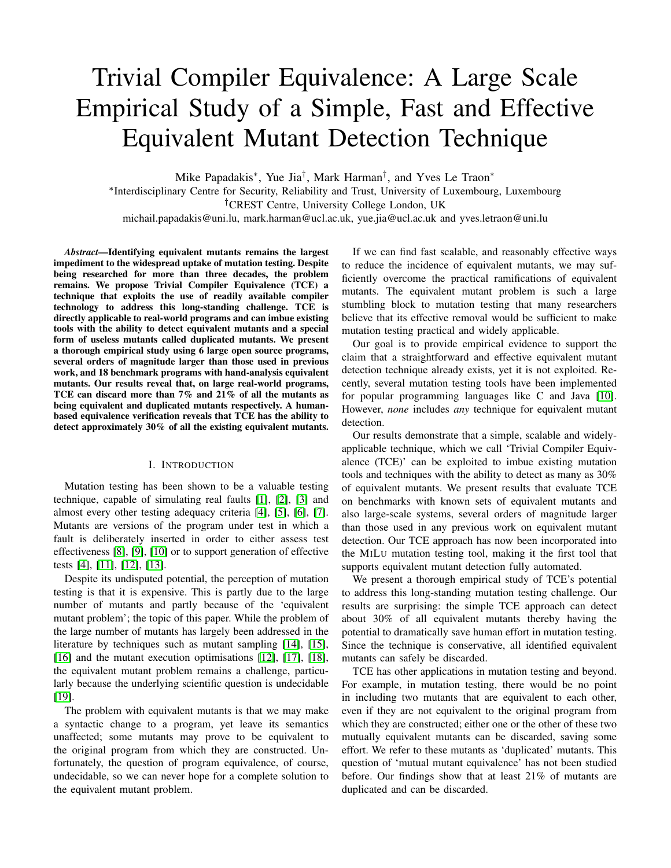# Trivial Compiler Equivalence: A Large Scale Empirical Study of a Simple, Fast and Effective Equivalent Mutant Detection Technique

Mike Papadakis<sup>∗</sup> , Yue Jia† , Mark Harman† , and Yves Le Traon<sup>∗</sup>

∗ Interdisciplinary Centre for Security, Reliability and Trust, University of Luxembourg, Luxembourg

†CREST Centre, University College London, UK

michail.papadakis@uni.lu, mark.harman@ucl.ac.uk, yue.jia@ucl.ac.uk and yves.letraon@uni.lu

*Abstract*—Identifying equivalent mutants remains the largest impediment to the widespread uptake of mutation testing. Despite being researched for more than three decades, the problem remains. We propose Trivial Compiler Equivalence (TCE) a technique that exploits the use of readily available compiler technology to address this long-standing challenge. TCE is directly applicable to real-world programs and can imbue existing tools with the ability to detect equivalent mutants and a special form of useless mutants called duplicated mutants. We present a thorough empirical study using 6 large open source programs, several orders of magnitude larger than those used in previous work, and 18 benchmark programs with hand-analysis equivalent mutants. Our results reveal that, on large real-world programs, TCE can discard more than 7% and 21% of all the mutants as being equivalent and duplicated mutants respectively. A humanbased equivalence verification reveals that TCE has the ability to detect approximately 30% of all the existing equivalent mutants.

#### I. INTRODUCTION

Mutation testing has been shown to be a valuable testing technique, capable of simulating real faults [\[1\]](#page-10-0), [\[2\]](#page-10-1), [\[3\]](#page-10-2) and almost every other testing adequacy criteria [\[4\]](#page-10-3), [\[5\]](#page-10-4), [\[6\]](#page-10-5), [\[7\]](#page-10-6). Mutants are versions of the program under test in which a fault is deliberately inserted in order to either assess test effectiveness [\[8\]](#page-10-7), [\[9\]](#page-10-8), [\[10\]](#page-10-9) or to support generation of effective tests [\[4\]](#page-10-3), [\[11\]](#page-10-10), [\[12\]](#page-10-11), [\[13\]](#page-10-12).

Despite its undisputed potential, the perception of mutation testing is that it is expensive. This is partly due to the large number of mutants and partly because of the 'equivalent mutant problem'; the topic of this paper. While the problem of the large number of mutants has largely been addressed in the literature by techniques such as mutant sampling [\[14\]](#page-10-13), [\[15\]](#page-10-14), [\[16\]](#page-10-15) and the mutant execution optimisations [\[12\]](#page-10-11), [\[17\]](#page-10-16), [\[18\]](#page-10-17), the equivalent mutant problem remains a challenge, particularly because the underlying scientific question is undecidable [\[19\]](#page-10-18).

The problem with equivalent mutants is that we may make a syntactic change to a program, yet leave its semantics unaffected; some mutants may prove to be equivalent to the original program from which they are constructed. Unfortunately, the question of program equivalence, of course, undecidable, so we can never hope for a complete solution to the equivalent mutant problem.

If we can find fast scalable, and reasonably effective ways to reduce the incidence of equivalent mutants, we may sufficiently overcome the practical ramifications of equivalent mutants. The equivalent mutant problem is such a large stumbling block to mutation testing that many researchers believe that its effective removal would be sufficient to make mutation testing practical and widely applicable.

Our goal is to provide empirical evidence to support the claim that a straightforward and effective equivalent mutant detection technique already exists, yet it is not exploited. Recently, several mutation testing tools have been implemented for popular programming languages like C and Java [\[10\]](#page-10-9). However, *none* includes *any* technique for equivalent mutant detection.

Our results demonstrate that a simple, scalable and widelyapplicable technique, which we call 'Trivial Compiler Equivalence (TCE)' can be exploited to imbue existing mutation tools and techniques with the ability to detect as many as 30% of equivalent mutants. We present results that evaluate TCE on benchmarks with known sets of equivalent mutants and also large-scale systems, several orders of magnitude larger than those used in any previous work on equivalent mutant detection. Our TCE approach has now been incorporated into the MILU mutation testing tool, making it the first tool that supports equivalent mutant detection fully automated.

We present a thorough empirical study of TCE's potential to address this long-standing mutation testing challenge. Our results are surprising: the simple TCE approach can detect about 30% of all equivalent mutants thereby having the potential to dramatically save human effort in mutation testing. Since the technique is conservative, all identified equivalent mutants can safely be discarded.

TCE has other applications in mutation testing and beyond. For example, in mutation testing, there would be no point in including two mutants that are equivalent to each other, even if they are not equivalent to the original program from which they are constructed; either one or the other of these two mutually equivalent mutants can be discarded, saving some effort. We refer to these mutants as 'duplicated' mutants. This question of 'mutual mutant equivalence' has not been studied before. Our findings show that at least 21% of mutants are duplicated and can be discarded.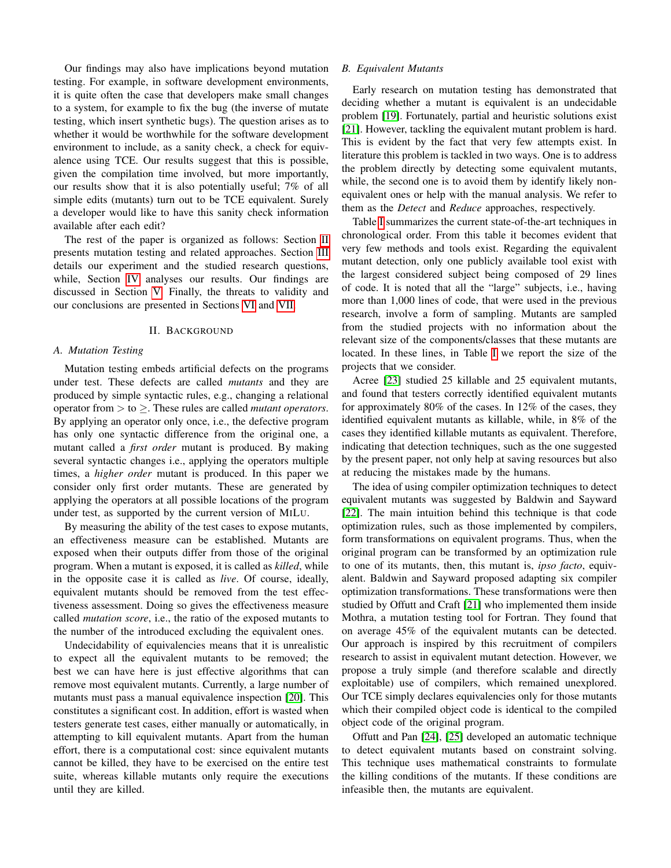Our findings may also have implications beyond mutation testing. For example, in software development environments, it is quite often the case that developers make small changes to a system, for example to fix the bug (the inverse of mutate testing, which insert synthetic bugs). The question arises as to whether it would be worthwhile for the software development environment to include, as a sanity check, a check for equivalence using TCE. Our results suggest that this is possible, given the compilation time involved, but more importantly, our results show that it is also potentially useful; 7% of all simple edits (mutants) turn out to be TCE equivalent. Surely a developer would like to have this sanity check information available after each edit?

The rest of the paper is organized as follows: Section [II](#page-1-0) presents mutation testing and related approaches. Section [III](#page-3-0) details our experiment and the studied research questions, while, Section [IV](#page-5-0) analyses our results. Our findings are discussed in Section [V.](#page-8-0) Finally, the threats to validity and our conclusions are presented in Sections [VI](#page-9-0) and [VII.](#page-9-1)

#### II. BACKGROUND

## <span id="page-1-0"></span>*A. Mutation Testing*

Mutation testing embeds artificial defects on the programs under test. These defects are called *mutants* and they are produced by simple syntactic rules, e.g., changing a relational operator from > to ≥. These rules are called *mutant operators*. By applying an operator only once, i.e., the defective program has only one syntactic difference from the original one, a mutant called a *first order* mutant is produced. By making several syntactic changes i.e., applying the operators multiple times, a *higher order* mutant is produced. In this paper we consider only first order mutants. These are generated by applying the operators at all possible locations of the program under test, as supported by the current version of MILU.

By measuring the ability of the test cases to expose mutants, an effectiveness measure can be established. Mutants are exposed when their outputs differ from those of the original program. When a mutant is exposed, it is called as *killed*, while in the opposite case it is called as *live*. Of course, ideally, equivalent mutants should be removed from the test effectiveness assessment. Doing so gives the effectiveness measure called *mutation score*, i.e., the ratio of the exposed mutants to the number of the introduced excluding the equivalent ones.

Undecidability of equivalencies means that it is unrealistic to expect all the equivalent mutants to be removed; the best we can have here is just effective algorithms that can remove most equivalent mutants. Currently, a large number of mutants must pass a manual equivalence inspection [\[20\]](#page-10-19). This constitutes a significant cost. In addition, effort is wasted when testers generate test cases, either manually or automatically, in attempting to kill equivalent mutants. Apart from the human effort, there is a computational cost: since equivalent mutants cannot be killed, they have to be exercised on the entire test suite, whereas killable mutants only require the executions until they are killed.

#### *B. Equivalent Mutants*

Early research on mutation testing has demonstrated that deciding whether a mutant is equivalent is an undecidable problem [\[19\]](#page-10-18). Fortunately, partial and heuristic solutions exist [\[21\]](#page-10-20). However, tackling the equivalent mutant problem is hard. This is evident by the fact that very few attempts exist. In literature this problem is tackled in two ways. One is to address the problem directly by detecting some equivalent mutants, while, the second one is to avoid them by identify likely nonequivalent ones or help with the manual analysis. We refer to them as the *Detect* and *Reduce* approaches, respectively.

Table [I](#page-2-0) summarizes the current state-of-the-art techniques in chronological order. From this table it becomes evident that very few methods and tools exist. Regarding the equivalent mutant detection, only one publicly available tool exist with the largest considered subject being composed of 29 lines of code. It is noted that all the "large" subjects, i.e., having more than 1,000 lines of code, that were used in the previous research, involve a form of sampling. Mutants are sampled from the studied projects with no information about the relevant size of the components/classes that these mutants are located. In these lines, in Table [I](#page-2-0) we report the size of the projects that we consider.

Acree [\[23\]](#page-10-21) studied 25 killable and 25 equivalent mutants, and found that testers correctly identified equivalent mutants for approximately 80% of the cases. In 12% of the cases, they identified equivalent mutants as killable, while, in 8% of the cases they identified killable mutants as equivalent. Therefore, indicating that detection techniques, such as the one suggested by the present paper, not only help at saving resources but also at reducing the mistakes made by the humans.

The idea of using compiler optimization techniques to detect equivalent mutants was suggested by Baldwin and Sayward [\[22\]](#page-10-22). The main intuition behind this technique is that code optimization rules, such as those implemented by compilers, form transformations on equivalent programs. Thus, when the original program can be transformed by an optimization rule to one of its mutants, then, this mutant is, *ipso facto*, equivalent. Baldwin and Sayward proposed adapting six compiler optimization transformations. These transformations were then studied by Offutt and Craft [\[21\]](#page-10-20) who implemented them inside Mothra, a mutation testing tool for Fortran. They found that on average 45% of the equivalent mutants can be detected. Our approach is inspired by this recruitment of compilers research to assist in equivalent mutant detection. However, we propose a truly simple (and therefore scalable and directly exploitable) use of compilers, which remained unexplored. Our TCE simply declares equivalencies only for those mutants which their compiled object code is identical to the compiled object code of the original program.

Offutt and Pan [\[24\]](#page-10-23), [\[25\]](#page-10-24) developed an automatic technique to detect equivalent mutants based on constraint solving. This technique uses mathematical constraints to formulate the killing conditions of the mutants. If these conditions are infeasible then, the mutants are equivalent.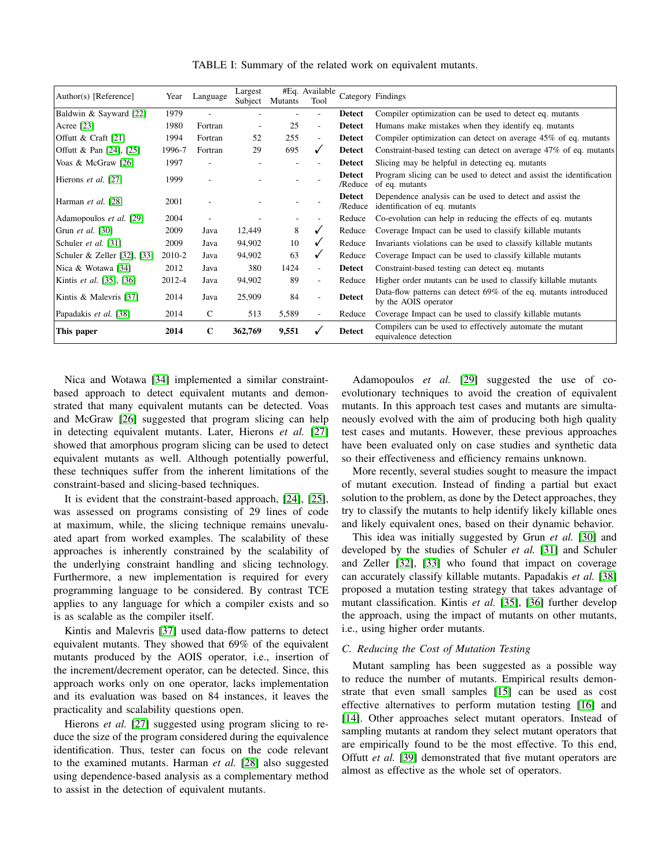TABLE I: Summary of the related work on equivalent mutants.

<span id="page-2-0"></span>

| Author(s) [Reference]       | Year   | Language                 | Largest                  |                |        |                          | #Eq. Available Category Findings                                                          |  |  |  |  |
|-----------------------------|--------|--------------------------|--------------------------|----------------|--------|--------------------------|-------------------------------------------------------------------------------------------|--|--|--|--|
|                             |        |                          | Subject                  | <b>Mutants</b> | Tool   |                          |                                                                                           |  |  |  |  |
| Baldwin & Sayward [22]      | 1979   | $\overline{\phantom{a}}$ |                          |                |        | <b>Detect</b>            | Compiler optimization can be used to detect eq. mutants                                   |  |  |  |  |
| Acree $[23]$                | 1980   | Fortran                  | $\overline{\phantom{a}}$ | 25             | $\sim$ | <b>Detect</b>            | Humans make mistakes when they identify eq. mutants                                       |  |  |  |  |
| Offutt & Craft $[21]$       | 1994   | Fortran                  | 52                       | 255            |        | <b>Detect</b>            | Compiler optimization can detect on average 45% of eq. mutants                            |  |  |  |  |
| Offutt & Pan [24], [25]     | 1996-7 | Fortran                  | 29                       | 695            | ✓      | <b>Detect</b>            | Constraint-based testing can detect on average 47% of eq. mutants                         |  |  |  |  |
| Voas & McGraw [26]          | 1997   |                          |                          |                |        | <b>Detect</b>            | Slicing may be helpful in detecting eq. mutants                                           |  |  |  |  |
| Hierons et al. [27]         | 1999   |                          |                          |                |        | <b>Detect</b><br>/Reduce | Program slicing can be used to detect and assist the identification<br>of eq. mutants     |  |  |  |  |
| Harman et al. [28]          | 2001   |                          |                          |                |        | <b>Detect</b><br>/Reduce | Dependence analysis can be used to detect and assist the<br>identification of eq. mutants |  |  |  |  |
| Adamopoulos et al. [29]     | 2004   | ٠                        |                          |                |        | Reduce                   | Co-evolution can help in reducing the effects of eq. mutants                              |  |  |  |  |
| Grun et al. [30]            | 2009   | Java                     | 12,449                   | 8              | ✓      | Reduce                   | Coverage Impact can be used to classify killable mutants                                  |  |  |  |  |
| Schuler et al. [31]         | 2009   | Java                     | 94,902                   | 10             |        | Reduce                   | Invariants violations can be used to classify killable mutants                            |  |  |  |  |
| Schuler & Zeller [32], [33] | 2010-2 | Java                     | 94,902                   | 63             | v      | Reduce                   | Coverage Impact can be used to classify killable mutants                                  |  |  |  |  |
| Nica & Wotawa [34]          | 2012   | Java                     | 380                      | 1424           | $\sim$ | <b>Detect</b>            | Constraint-based testing can detect eq. mutants                                           |  |  |  |  |
| Kintis et al. [35], [36]    | 2012-4 | Java                     | 94,902                   | 89             | $\sim$ | Reduce                   | Higher order mutants can be used to classify killable mutants                             |  |  |  |  |
| Kintis & Malevris [37]      | 2014   | Java                     | 25,909                   | 84             |        | <b>Detect</b>            | Data-flow patterns can detect 69% of the eq. mutants introduced<br>by the AOIS operator   |  |  |  |  |
| Papadakis et al. [38]       | 2014   | $\mathcal{C}$            | 513                      | 5,589          |        | Reduce                   | Coverage Impact can be used to classify killable mutants                                  |  |  |  |  |
| This paper                  | 2014   | $\mathbf C$              | 362,769                  | 9,551          |        | <b>Detect</b>            | Compilers can be used to effectively automate the mutant<br>equivalence detection         |  |  |  |  |

Nica and Wotawa [\[34\]](#page-10-33) implemented a similar constraintbased approach to detect equivalent mutants and demonstrated that many equivalent mutants can be detected. Voas and McGraw [\[26\]](#page-10-25) suggested that program slicing can help in detecting equivalent mutants. Later, Hierons *et al.* [\[27\]](#page-10-26) showed that amorphous program slicing can be used to detect equivalent mutants as well. Although potentially powerful, these techniques suffer from the inherent limitations of the constraint-based and slicing-based techniques.

It is evident that the constraint-based approach, [\[24\]](#page-10-23), [\[25\]](#page-10-24), was assessed on programs consisting of 29 lines of code at maximum, while, the slicing technique remains unevaluated apart from worked examples. The scalability of these approaches is inherently constrained by the scalability of the underlying constraint handling and slicing technology. Furthermore, a new implementation is required for every programming language to be considered. By contrast TCE applies to any language for which a compiler exists and so is as scalable as the compiler itself.

Kintis and Malevris [\[37\]](#page-10-36) used data-flow patterns to detect equivalent mutants. They showed that 69% of the equivalent mutants produced by the AOIS operator, i.e., insertion of the increment/decrement operator, can be detected. Since, this approach works only on one operator, lacks implementation and its evaluation was based on 84 instances, it leaves the practicality and scalability questions open.

Hierons *et al.* [\[27\]](#page-10-26) suggested using program slicing to reduce the size of the program considered during the equivalence identification. Thus, tester can focus on the code relevant to the examined mutants. Harman *et al.* [\[28\]](#page-10-27) also suggested using dependence-based analysis as a complementary method to assist in the detection of equivalent mutants.

Adamopoulos *et al.* [\[29\]](#page-10-28) suggested the use of coevolutionary techniques to avoid the creation of equivalent mutants. In this approach test cases and mutants are simultaneously evolved with the aim of producing both high quality test cases and mutants. However, these previous approaches have been evaluated only on case studies and synthetic data so their effectiveness and efficiency remains unknown.

More recently, several studies sought to measure the impact of mutant execution. Instead of finding a partial but exact solution to the problem, as done by the Detect approaches, they try to classify the mutants to help identify likely killable ones and likely equivalent ones, based on their dynamic behavior.

This idea was initially suggested by Grun *et al.* [\[30\]](#page-10-29) and developed by the studies of Schuler *et al.* [\[31\]](#page-10-30) and Schuler and Zeller [\[32\]](#page-10-31), [\[33\]](#page-10-32) who found that impact on coverage can accurately classify killable mutants. Papadakis *et al.* [\[38\]](#page-10-37) proposed a mutation testing strategy that takes advantage of mutant classification. Kintis *et al.* [\[35\]](#page-10-34), [\[36\]](#page-10-35) further develop the approach, using the impact of mutants on other mutants, i.e., using higher order mutants.

## *C. Reducing the Cost of Mutation Testing*

Mutant sampling has been suggested as a possible way to reduce the number of mutants. Empirical results demonstrate that even small samples [\[15\]](#page-10-14) can be used as cost effective alternatives to perform mutation testing [\[16\]](#page-10-15) and [\[14\]](#page-10-13). Other approaches select mutant operators. Instead of sampling mutants at random they select mutant operators that are empirically found to be the most effective. To this end, Offutt *et al.* [\[39\]](#page-10-38) demonstrated that five mutant operators are almost as effective as the whole set of operators.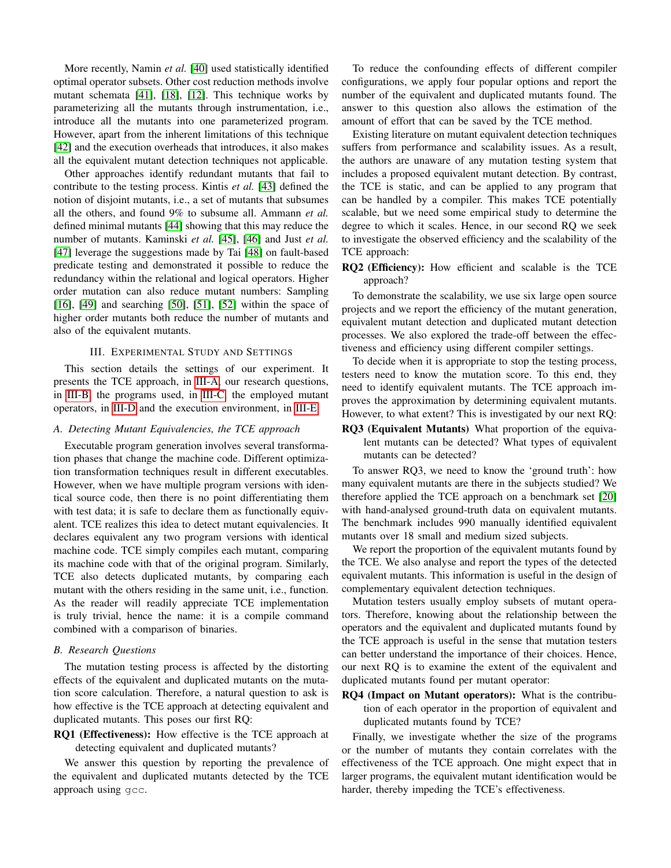More recently, Namin *et al.* [\[40\]](#page-10-39) used statistically identified optimal operator subsets. Other cost reduction methods involve mutant schemata [\[41\]](#page-10-40), [\[18\]](#page-10-17), [\[12\]](#page-10-11). This technique works by parameterizing all the mutants through instrumentation, i.e., introduce all the mutants into one parameterized program. However, apart from the inherent limitations of this technique [\[42\]](#page-10-41) and the execution overheads that introduces, it also makes all the equivalent mutant detection techniques not applicable.

Other approaches identify redundant mutants that fail to contribute to the testing process. Kintis *et al.* [\[43\]](#page-10-42) defined the notion of disjoint mutants, i.e., a set of mutants that subsumes all the others, and found 9% to subsume all. Ammann *et al.* defined minimal mutants [\[44\]](#page-10-43) showing that this may reduce the number of mutants. Kaminski *et al.* [\[45\]](#page-10-44), [\[46\]](#page-10-45) and Just *et al.* [\[47\]](#page-10-46) leverage the suggestions made by Tai [\[48\]](#page-10-47) on fault-based predicate testing and demonstrated it possible to reduce the redundancy within the relational and logical operators. Higher order mutation can also reduce mutant numbers: Sampling [\[16\]](#page-10-15), [\[49\]](#page-10-48) and searching [\[50\]](#page-10-49), [\[51\]](#page-10-50), [\[52\]](#page-10-51) within the space of higher order mutants both reduce the number of mutants and also of the equivalent mutants.

#### III. EXPERIMENTAL STUDY AND SETTINGS

<span id="page-3-0"></span>This section details the settings of our experiment. It presents the TCE approach, in [III-A,](#page-3-1) our research questions, in [III-B,](#page-3-2) the programs used, in [III-C,](#page-4-0) the employed mutant operators, in [III-D](#page-4-1) and the execution environment, in [III-E.](#page-5-1)

## <span id="page-3-1"></span>*A. Detecting Mutant Equivalencies, the TCE approach*

Executable program generation involves several transformation phases that change the machine code. Different optimization transformation techniques result in different executables. However, when we have multiple program versions with identical source code, then there is no point differentiating them with test data; it is safe to declare them as functionally equivalent. TCE realizes this idea to detect mutant equivalencies. It declares equivalent any two program versions with identical machine code. TCE simply compiles each mutant, comparing its machine code with that of the original program. Similarly, TCE also detects duplicated mutants, by comparing each mutant with the others residing in the same unit, i.e., function. As the reader will readily appreciate TCE implementation is truly trivial, hence the name: it is a compile command combined with a comparison of binaries.

## <span id="page-3-2"></span>*B. Research Questions*

The mutation testing process is affected by the distorting effects of the equivalent and duplicated mutants on the mutation score calculation. Therefore, a natural question to ask is how effective is the TCE approach at detecting equivalent and duplicated mutants. This poses our first RQ:

RQ1 (Effectiveness): How effective is the TCE approach at detecting equivalent and duplicated mutants?

We answer this question by reporting the prevalence of the equivalent and duplicated mutants detected by the TCE approach using gcc.

To reduce the confounding effects of different compiler configurations, we apply four popular options and report the number of the equivalent and duplicated mutants found. The answer to this question also allows the estimation of the amount of effort that can be saved by the TCE method.

Existing literature on mutant equivalent detection techniques suffers from performance and scalability issues. As a result, the authors are unaware of any mutation testing system that includes a proposed equivalent mutant detection. By contrast, the TCE is static, and can be applied to any program that can be handled by a compiler. This makes TCE potentially scalable, but we need some empirical study to determine the degree to which it scales. Hence, in our second RQ we seek to investigate the observed efficiency and the scalability of the TCE approach:

RQ2 (Efficiency): How efficient and scalable is the TCE approach?

To demonstrate the scalability, we use six large open source projects and we report the efficiency of the mutant generation, equivalent mutant detection and duplicated mutant detection processes. We also explored the trade-off between the effectiveness and efficiency using different compiler settings.

To decide when it is appropriate to stop the testing process, testers need to know the mutation score. To this end, they need to identify equivalent mutants. The TCE approach improves the approximation by determining equivalent mutants. However, to what extent? This is investigated by our next RQ:

RQ3 (Equivalent Mutants) What proportion of the equivalent mutants can be detected? What types of equivalent mutants can be detected?

To answer RQ3, we need to know the 'ground truth': how many equivalent mutants are there in the subjects studied? We therefore applied the TCE approach on a benchmark set [\[20\]](#page-10-19) with hand-analysed ground-truth data on equivalent mutants. The benchmark includes 990 manually identified equivalent mutants over 18 small and medium sized subjects.

We report the proportion of the equivalent mutants found by the TCE. We also analyse and report the types of the detected equivalent mutants. This information is useful in the design of complementary equivalent detection techniques.

Mutation testers usually employ subsets of mutant operators. Therefore, knowing about the relationship between the operators and the equivalent and duplicated mutants found by the TCE approach is useful in the sense that mutation testers can better understand the importance of their choices. Hence, our next RQ is to examine the extent of the equivalent and duplicated mutants found per mutant operator:

## RQ4 (Impact on Mutant operators): What is the contribution of each operator in the proportion of equivalent and duplicated mutants found by TCE?

Finally, we investigate whether the size of the programs or the number of mutants they contain correlates with the effectiveness of the TCE approach. One might expect that in larger programs, the equivalent mutant identification would be harder, thereby impeding the TCE's effectiveness.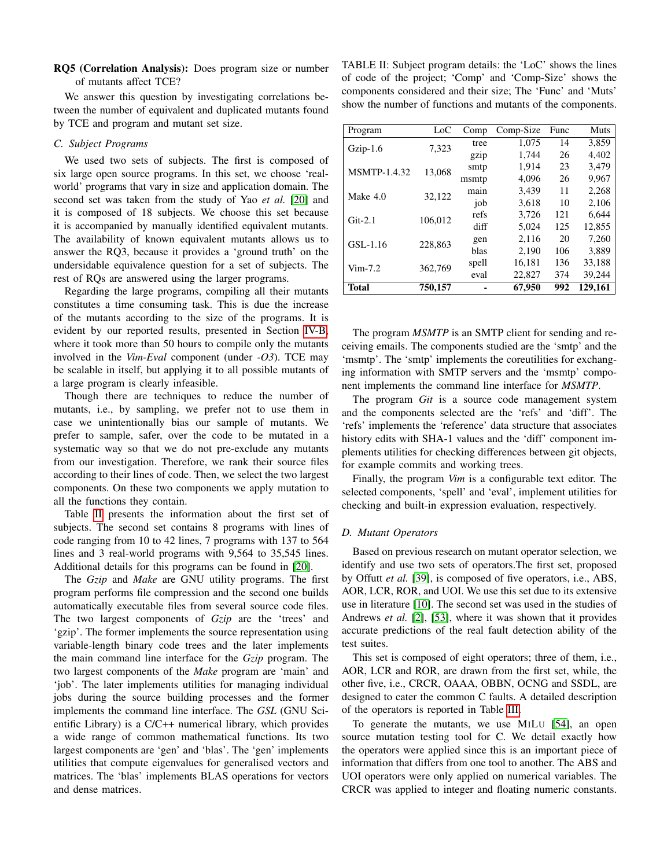RQ5 (Correlation Analysis): Does program size or number of mutants affect TCE?

We answer this question by investigating correlations between the number of equivalent and duplicated mutants found by TCE and program and mutant set size.

### <span id="page-4-0"></span>*C. Subject Programs*

We used two sets of subjects. The first is composed of six large open source programs. In this set, we choose 'realworld' programs that vary in size and application domain. The second set was taken from the study of Yao *et al.* [\[20\]](#page-10-19) and it is composed of 18 subjects. We choose this set because it is accompanied by manually identified equivalent mutants. The availability of known equivalent mutants allows us to answer the RQ3, because it provides a 'ground truth' on the undersidable equivalence question for a set of subjects. The rest of RQs are answered using the larger programs.

Regarding the large programs, compiling all their mutants constitutes a time consuming task. This is due the increase of the mutants according to the size of the programs. It is evident by our reported results, presented in Section [IV-B,](#page-5-2) where it took more than 50 hours to compile only the mutants involved in the *Vim-Eval* component (under *-O3*). TCE may be scalable in itself, but applying it to all possible mutants of a large program is clearly infeasible.

Though there are techniques to reduce the number of mutants, i.e., by sampling, we prefer not to use them in case we unintentionally bias our sample of mutants. We prefer to sample, safer, over the code to be mutated in a systematic way so that we do not pre-exclude any mutants from our investigation. Therefore, we rank their source files according to their lines of code. Then, we select the two largest components. On these two components we apply mutation to all the functions they contain.

Table [II](#page-4-2) presents the information about the first set of subjects. The second set contains 8 programs with lines of code ranging from 10 to 42 lines, 7 programs with 137 to 564 lines and 3 real-world programs with 9,564 to 35,545 lines. Additional details for this programs can be found in [\[20\]](#page-10-19).

The *Gzip* and *Make* are GNU utility programs. The first program performs file compression and the second one builds automatically executable files from several source code files. The two largest components of *Gzip* are the 'trees' and 'gzip'. The former implements the source representation using variable-length binary code trees and the later implements the main command line interface for the *Gzip* program. The two largest components of the *Make* program are 'main' and 'job'. The later implements utilities for managing individual jobs during the source building processes and the former implements the command line interface. The *GSL* (GNU Scientific Library) is a C/C++ numerical library, which provides a wide range of common mathematical functions. Its two largest components are 'gen' and 'blas'. The 'gen' implements utilities that compute eigenvalues for generalised vectors and matrices. The 'blas' implements BLAS operations for vectors and dense matrices.

<span id="page-4-2"></span>TABLE II: Subject program details: the 'LoC' shows the lines of code of the project; 'Comp' and 'Comp-Size' shows the components considered and their size; The 'Func' and 'Muts' show the number of functions and mutants of the components.

| Program                  | Loc     | Comp  | Comp-Size | Func | <b>Muts</b> |
|--------------------------|---------|-------|-----------|------|-------------|
| $Gzip-1.6$               | 7,323   | tree  | 1.075     | 14   | 3,859       |
|                          |         | gzip  | 1,744     | 26   | 4.402       |
| <b>MSMTP-1.4.32</b>      | 13.068  | smtp  | 1.914     | 23   | 3,479       |
|                          |         | msmtp | 4.096     | 26   | 9.967       |
| Make $4.0$               | 32,122  | main  | 3,439     | 11   | 2,268       |
|                          |         | job   | 3,618     | 10   | 2,106       |
| $\operatorname{Git-2.1}$ | 106.012 | refs  | 3,726     | 121  | 6.644       |
|                          |         | diff  | 5,024     | 125  | 12.855      |
| $GSL-1.16$               | 228,863 | gen   | 2.116     | 20   | 7.260       |
|                          |         | blas  | 2.190     | 106  | 3,889       |
| $Vim-7.2$                | 362,769 | spell | 16.181    | 136  | 33,188      |
|                          |         | eval  | 22,827    | 374  | 39.244      |
| <b>Total</b>             | 750,157 |       | 67,950    | 992  | 129,161     |

The program *MSMTP* is an SMTP client for sending and receiving emails. The components studied are the 'smtp' and the 'msmtp'. The 'smtp' implements the coreutilities for exchanging information with SMTP servers and the 'msmtp' component implements the command line interface for *MSMTP*.

The program *Git* is a source code management system and the components selected are the 'refs' and 'diff'. The 'refs' implements the 'reference' data structure that associates history edits with SHA-1 values and the 'diff' component implements utilities for checking differences between git objects, for example commits and working trees.

Finally, the program *Vim* is a configurable text editor. The selected components, 'spell' and 'eval', implement utilities for checking and built-in expression evaluation, respectively.

## <span id="page-4-1"></span>*D. Mutant Operators*

Based on previous research on mutant operator selection, we identify and use two sets of operators.The first set, proposed by Offutt *et al.* [\[39\]](#page-10-38), is composed of five operators, i.e., ABS, AOR, LCR, ROR, and UOI. We use this set due to its extensive use in literature [\[10\]](#page-10-9). The second set was used in the studies of Andrews *et al.* [\[2\]](#page-10-1), [\[53\]](#page-10-52), where it was shown that it provides accurate predictions of the real fault detection ability of the test suites.

This set is composed of eight operators; three of them, i.e., AOR, LCR and ROR, are drawn from the first set, while, the other five, i.e., CRCR, OAAA, OBBN, OCNG and SSDL, are designed to cater the common C faults. A detailed description of the operators is reported in Table [III.](#page-5-3)

To generate the mutants, we use MILU [\[54\]](#page-10-53), an open source mutation testing tool for C. We detail exactly how the operators were applied since this is an important piece of information that differs from one tool to another. The ABS and UOI operators were only applied on numerical variables. The CRCR was applied to integer and floating numeric constants.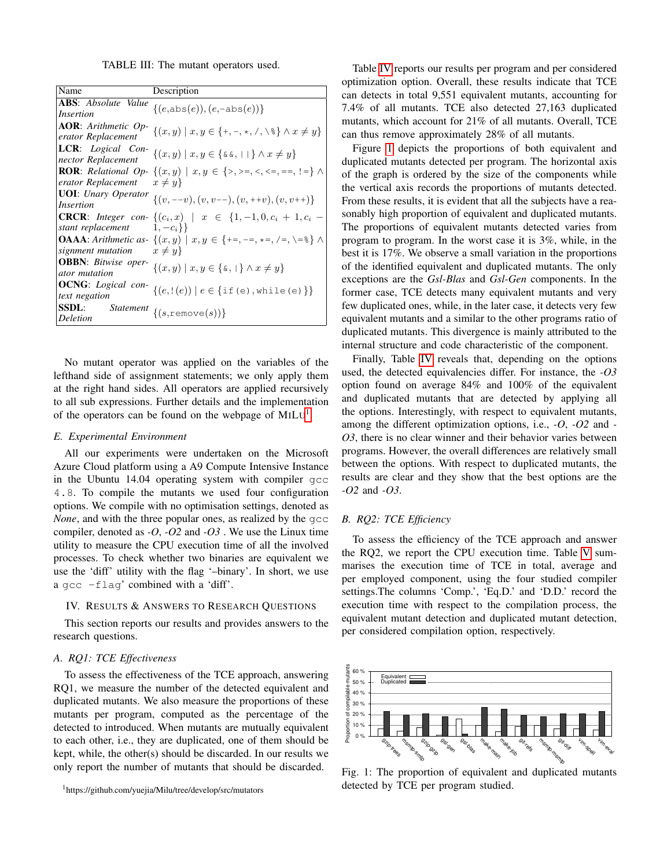TABLE III: The mutant operators used.

<span id="page-5-3"></span>

| Name                                                   | Description                                                                                             |
|--------------------------------------------------------|---------------------------------------------------------------------------------------------------------|
| <b>ABS:</b> Absolute Value<br>Insertion                | $\{(e, abs(e)), (e, -abs(e))\}$                                                                         |
| <b>AOR:</b> Arithmetic Op-<br>erator Replacement       | $\{(x, y) \mid x, y \in \{+, -, *, /, \setminus\mathcal{E}\} \land x \neq y\}$                          |
| <b>LCR</b> : <i>Logical Con-</i><br>nector Replacement | $\{(x,y) \mid x,y \in \{\& \& , \perp\}\land x \neq y\}$                                                |
| erator Replacement                                     | <b>ROR:</b> Relational Op- $\{(x, y)   x, y \in \{>,, >=, <, <=, ==, \perp =\} \land$<br>$x \neq y$     |
| <b>UOI</b> : Unary Operator<br>Insertion               | $\{(v, -v), (v, v--), (v, +v), (v, v++)\}$                                                              |
| stant replacement                                      | <b>CRCR:</b> Integer con- $\{(c_i, x) \mid x \in \{1, -1, 0, c_i + 1, c_i -$<br>$1, -c_i \}$            |
| signment mutation                                      | <b>OAAA:</b> Arithmetic as- $\{(x, y)   x, y \in \{+=, -=, *=, /=, \setminus =\$\} \land$<br>$x \neq y$ |
| <b>OBBN</b> : Bitwise oper-<br><i>ator mutation</i>    | $\{(x, y) \mid x, y \in \{\alpha, \beta\} \land x \neq y\}$                                             |
| <b>OCNG</b> : Logical con-<br>text negation            | $\{(e,!(e))   e \in \{\text{if}(e), \text{while}(e)\}\}\$                                               |
| <b>SSDL</b> :<br><i>Statement</i><br>Deletion          | $\{(s, \text{remove}(s))\}$                                                                             |

No mutant operator was applied on the variables of the lefthand side of assignment statements; we only apply them at the right hand sides. All operators are applied recursively to all sub expressions. Further details and the implementation of the operators can be found on the webpage of  $MILU<sup>1</sup>$  $MILU<sup>1</sup>$  $MILU<sup>1</sup>$ .

#### <span id="page-5-1"></span>*E. Experimental Environment*

All our experiments were undertaken on the Microsoft Azure Cloud platform using a A9 Compute Intensive Instance in the Ubuntu 14.04 operating system with compiler gcc 4.8. To compile the mutants we used four configuration options. We compile with no optimisation settings, denoted as *None*, and with the three popular ones, as realized by the gcc compiler, denoted as *-O*, *-O2* and *-O3* . We use the Linux time utility to measure the CPU execution time of all the involved processes. To check whether two binaries are equivalent we use the 'diff' utility with the flag '–binary'. In short, we use a gcc -flag' combined with a 'diff'.

#### <span id="page-5-0"></span>IV. RESULTS & ANSWERS TO RESEARCH QUESTIONS

This section reports our results and provides answers to the research questions.

## *A. RQ1: TCE Effectiveness*

To assess the effectiveness of the TCE approach, answering RQ1, we measure the number of the detected equivalent and duplicated mutants. We also measure the proportions of these mutants per program, computed as the percentage of the detected to introduced. When mutants are mutually equivalent to each other, i.e., they are duplicated, one of them should be kept, while, the other(s) should be discarded. In our results we only report the number of mutants that should be discarded.

Table [IV](#page-6-0) reports our results per program and per considered optimization option. Overall, these results indicate that TCE can detects in total 9,551 equivalent mutants, accounting for 7.4% of all mutants. TCE also detected 27,163 duplicated mutants, which account for 21% of all mutants. Overall, TCE can thus remove approximately 28% of all mutants.

Figure [1](#page-5-5) depicts the proportions of both equivalent and duplicated mutants detected per program. The horizontal axis of the graph is ordered by the size of the components while the vertical axis records the proportions of mutants detected. From these results, it is evident that all the subjects have a reasonably high proportion of equivalent and duplicated mutants. The proportions of equivalent mutants detected varies from program to program. In the worst case it is 3%, while, in the best it is 17%. We observe a small variation in the proportions of the identified equivalent and duplicated mutants. The only exceptions are the *Gsl-Blas* and *Gsl-Gen* components. In the former case, TCE detects many equivalent mutants and very few duplicated ones, while, in the later case, it detects very few equivalent mutants and a similar to the other programs ratio of duplicated mutants. This divergence is mainly attributed to the internal structure and code characteristic of the component.

Finally, Table [IV](#page-6-0) reveals that, depending on the options used, the detected equivalencies differ. For instance, the *-O3* option found on average 84% and 100% of the equivalent and duplicated mutants that are detected by applying all the options. Interestingly, with respect to equivalent mutants, among the different optimization options, i.e., *-O*, *-O2* and *- O3*, there is no clear winner and their behavior varies between programs. However, the overall differences are relatively small between the options. With respect to duplicated mutants, the results are clear and they show that the best options are the *-O2* and *-O3*.

## <span id="page-5-2"></span>*B. RQ2: TCE Efficiency*

To assess the efficiency of the TCE approach and answer the RQ2, we report the CPU execution time. Table [V](#page-6-1) summarises the execution time of TCE in total, average and per employed component, using the four studied compiler settings.The columns 'Comp.', 'Eq.D.' and 'D.D.' record the execution time with respect to the compilation process, the equivalent mutant detection and duplicated mutant detection, per considered compilation option, respectively.

<span id="page-5-5"></span>

Fig. 1: The proportion of equivalent and duplicated mutants detected by TCE per program studied.

<span id="page-5-4"></span><sup>1</sup>https://github.com/yuejia/Milu/tree/develop/src/mutators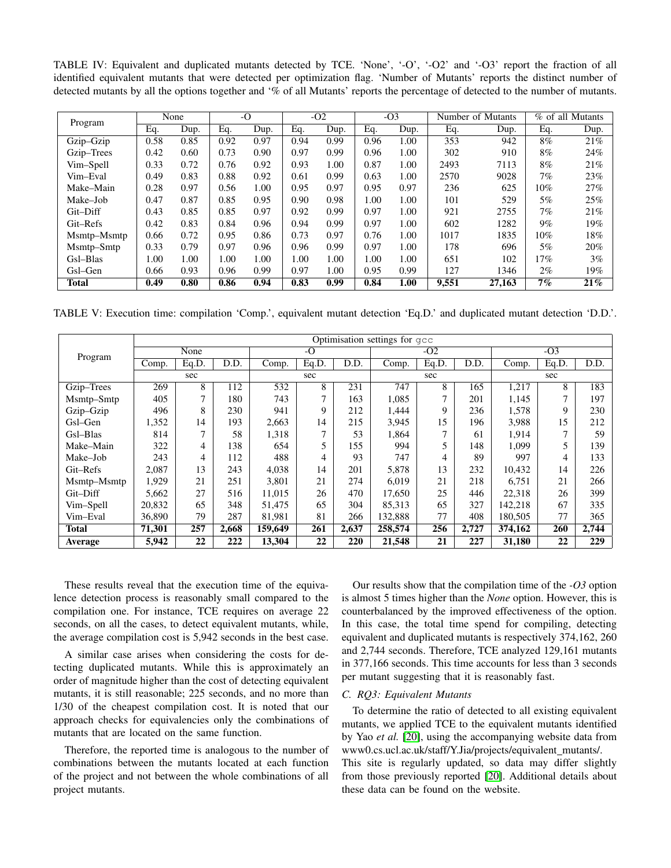<span id="page-6-0"></span>TABLE IV: Equivalent and duplicated mutants detected by TCE. 'None', '-O', '-O2' and '-O3' report the fraction of all identified equivalent mutants that were detected per optimization flag. 'Number of Mutants' reports the distinct number of detected mutants by all the options together and '% of all Mutants' reports the percentage of detected to the number of mutants.

| Program      | None |      | $-$ O |      | $-O2$ |      | $-O3$ |      |       | Number of Mutants | % of all Mutants |      |  |
|--------------|------|------|-------|------|-------|------|-------|------|-------|-------------------|------------------|------|--|
|              | Eq.  | Dup. | Eq.   | Dup. | Eq.   | Dup. | Eq.   | Dup. | Eq.   | Dup.              | Eq.              | Dup. |  |
| Gzip-Gzip    | 0.58 | 0.85 | 0.92  | 0.97 | 0.94  | 0.99 | 0.96  | 1.00 | 353   | 942               | $8\%$            | 21%  |  |
| Gzip-Trees   | 0.42 | 0.60 | 0.73  | 0.90 | 0.97  | 0.99 | 0.96  | 1.00 | 302   | 910               | 8%               | 24%  |  |
| Vim-Spell    | 0.33 | 0.72 | 0.76  | 0.92 | 0.93  | 1.00 | 0.87  | 1.00 | 2493  | 7113              | 8%               | 21%  |  |
| Vim-Eval     | 0.49 | 0.83 | 0.88  | 0.92 | 0.61  | 0.99 | 0.63  | 1.00 | 2570  | 9028              | 7%               | 23%  |  |
| Make-Main    | 0.28 | 0.97 | 0.56  | 1.00 | 0.95  | 0.97 | 0.95  | 0.97 | 236   | 625               | 10%              | 27%  |  |
| Make-Job     | 0.47 | 0.87 | 0.85  | 0.95 | 0.90  | 0.98 | 1.00  | 1.00 | 101   | 529               | $5\%$            | 25%  |  |
| Git-Diff     | 0.43 | 0.85 | 0.85  | 0.97 | 0.92  | 0.99 | 0.97  | 1.00 | 921   | 2755              | 7%               | 21%  |  |
| Git-Refs     | 0.42 | 0.83 | 0.84  | 0.96 | 0.94  | 0.99 | 0.97  | 1.00 | 602   | 1282              | 9%               | 19%  |  |
| Msmtp-Msmtp  | 0.66 | 0.72 | 0.95  | 0.86 | 0.73  | 0.97 | 0.76  | 1.00 | 1017  | 1835              | $10\%$           | 18%  |  |
| Msmtp-Smtp   | 0.33 | 0.79 | 0.97  | 0.96 | 0.96  | 0.99 | 0.97  | 1.00 | 178   | 696               | 5%               | 20%  |  |
| Gsl-Blas     | 1.00 | 1.00 | 1.00  | 1.00 | 1.00  | 1.00 | 1.00  | 1.00 | 651   | 102               | 17%              | 3%   |  |
| Gsl-Gen      | 0.66 | 0.93 | 0.96  | 0.99 | 0.97  | 1.00 | 0.95  | 0.99 | 127   | 1346              | $2\%$            | 19%  |  |
| <b>Total</b> | 0.49 | 0.80 | 0.86  | 0.94 | 0.83  | 0.99 | 0.84  | 1.00 | 9,551 | 27,163            | 7%               | 21%  |  |

<span id="page-6-1"></span>TABLE V: Execution time: compilation 'Comp.', equivalent mutant detection 'Eq.D.' and duplicated mutant detection 'D.D.'.

| Program        |                            | None          |        |         | $-O$          |        |         | $-02$          |        | $-O3$   |               |       |  |
|----------------|----------------------------|---------------|--------|---------|---------------|--------|---------|----------------|--------|---------|---------------|-------|--|
|                | $\overline{\text{Comp}}$ . | Eq.D.         | D.D.   | Comp.   | Eq.D.         | D.D.   | Comp.   | Eq.D.          | D.D.   | Comp.   | Eq.D.         | D.D.  |  |
|                |                            | sec           |        |         | sec           |        |         | sec            |        | sec     |               |       |  |
| Gzip-Trees     | 269                        | 8             | 112    | 532     | 8             | 231    | 747     | 8              | 165    | 1,217   | 8             | 183   |  |
| Msmtp-Smtp     | 405                        | $\mathcal{I}$ | 180    | 743     | 7             | 163    | 1,085   | $\overline{7}$ | 201    | 1,145   | 7             | 197   |  |
| Gzip-Gzip      | 496                        | 8             | 230    | 941     | 9             | 212    | 1,444   | 9              | 236    | 1,578   | 9             | 230   |  |
| Gsl-Gen        | 1,352                      | 14            | 193    | 2,663   | 14            | 215    | 3,945   | 15             | 196    | 3,988   | 15            | 212   |  |
| Gsl-Blas       | 814                        | $\mathbf{r}$  | 58     | 1,318   | $\mathcal{I}$ | 53     | 1,864   | $\overline{7}$ | 61     | 1,914   | $\mathcal{I}$ | 59    |  |
| Make-Main      | 322                        | 4             | 138    | 654     | 5             | 155    | 994     | 5              | 148    | 1,099   | 5             | 139   |  |
| Make-Job       | 243                        | 4             | 112    | 488     | 4             | 93     | 747     | 4              | 89     | 997     | 4             | 133   |  |
| Git-Refs       | 2,087                      | 13            | 243    | 4.038   | 14            | 201    | 5.878   | 13             | 232    | 10,432  | 14            | 226   |  |
| Msmtp-Msmtp    | 1,929                      | 21            | 251    | 3.801   | 21            | 274    | 6.019   | 21             | 218    | 6.751   | 21            | 266   |  |
| Git-Diff       | 5,662                      | 27            | 516    | 11,015  | 26            | 470    | 17,650  | 25             | 446    | 22,318  | 26            | 399   |  |
| Vim-Spell      | 20,832                     | 65            | 348    | 51,475  | 65            | 304    | 85,313  | 65             | 327    | 142,218 | 67            | 335   |  |
| Vim-Eval       | 36,890                     | 79            | 287    | 81,981  | 81            | 266    | 132,888 | 77             | 408    | 180,505 | 77            | 365   |  |
| <b>Total</b>   | 71,301                     | 257           | 2,668  | 159,649 | 261           | 2,637  | 258,574 | 256            | 2,727  | 374,162 | 260           | 2,744 |  |
| <b>Average</b> | 22<br>222<br>5,942         |               | 13,304 | 22      | 220           | 21,548 | 21      | 227            | 31,180 | 22      | 229           |       |  |

These results reveal that the execution time of the equivalence detection process is reasonably small compared to the compilation one. For instance, TCE requires on average 22 seconds, on all the cases, to detect equivalent mutants, while, the average compilation cost is 5,942 seconds in the best case.

A similar case arises when considering the costs for detecting duplicated mutants. While this is approximately an order of magnitude higher than the cost of detecting equivalent mutants, it is still reasonable; 225 seconds, and no more than 1/30 of the cheapest compilation cost. It is noted that our approach checks for equivalencies only the combinations of mutants that are located on the same function.

Therefore, the reported time is analogous to the number of combinations between the mutants located at each function of the project and not between the whole combinations of all project mutants.

Our results show that the compilation time of the *-O3* option is almost 5 times higher than the *None* option. However, this is counterbalanced by the improved effectiveness of the option. In this case, the total time spend for compiling, detecting equivalent and duplicated mutants is respectively 374,162, 260 and 2,744 seconds. Therefore, TCE analyzed 129,161 mutants in 377,166 seconds. This time accounts for less than 3 seconds per mutant suggesting that it is reasonably fast.

## *C. RQ3: Equivalent Mutants*

To determine the ratio of detected to all existing equivalent mutants, we applied TCE to the equivalent mutants identified by Yao *et al.* [\[20\]](#page-10-19), using the accompanying website data from www0.cs.ucl.ac.uk/staff/Y.Jia/projects/equivalent\_mutants/. This site is regularly updated, so data may differ slightly

from those previously reported [\[20\]](#page-10-19). Additional details about these data can be found on the website.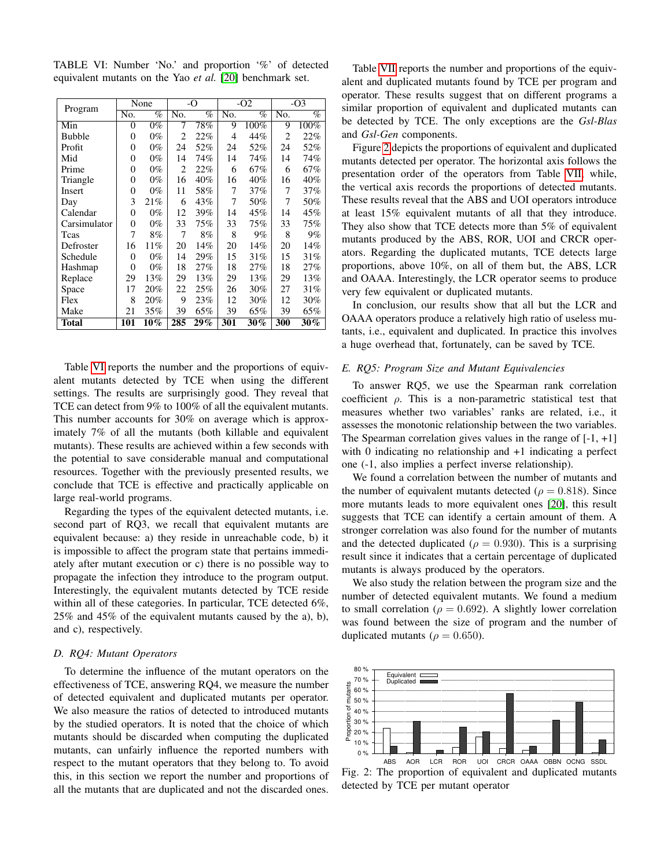<span id="page-7-0"></span>TABLE VI: Number 'No.' and proportion '%' of detected equivalent mutants on the Yao *et al.* [\[20\]](#page-10-19) benchmark set.

| Program       |     | None            |     | -O              |     | $-O2$           | $-O3$ |                 |  |
|---------------|-----|-----------------|-----|-----------------|-----|-----------------|-------|-----------------|--|
|               | No. | $\overline{\%}$ | No. | $\overline{\%}$ | No. | $\overline{\%}$ | No.   | $\overline{\%}$ |  |
| Min           | 0   | $0\%$           | 7   | 78%             | 9   | 100%            | 9     | $100\%$         |  |
| <b>Bubble</b> | 0   | $0\%$           | 2   | 22%             | 4   | 44%             | 2     | 22%             |  |
| Profit        | 0   | $0\%$           | 24  | 52%             | 24  | 52%             | 24    | 52%             |  |
| Mid           | 0   | $0\%$           | 14  | 74%             | 14  | 74%             | 14    | 74%             |  |
| Prime         | 0   | $0\%$           | 2   | 22%             | 6   | 67%             | 6     | 67%             |  |
| Triangle      | 0   | $0\%$           | 16  | 40%             | 16  | 40%             | 16    | 40%             |  |
| <b>Insert</b> | 0   | $0\%$           | 11  | 58%             | 7   | 37%             | 7     | 37%             |  |
| Day           | 3   | 21%             | 6   | 43%             | 7   | 50%             | 7     | 50%             |  |
| Calendar      | 0   | $0\%$           | 12  | 39%             | 14  | 45%             | 14    | 45%             |  |
| Carsimulator  | 0   | $0\%$           | 33  | 75%             | 33  | 75%             | 33    | 75%             |  |
| Tcas          | 7   | 8%              | 7   | 8%              | 8   | $9\%$           | 8     | 9%              |  |
| Defroster     | 16  | 11%             | 20  | 14%             | 20  | 14%             | 20    | 14%             |  |
| Schedule      | 0   | $0\%$           | 14  | 29%             | 15  | 31%             | 15    | 31%             |  |
| Hashmap       | 0   | $0\%$           | 18  | 27%             | 18  | 27%             | 18    | 27%             |  |
| Replace       | 29  | 13%             | 29  | 13%             | 29  | 13%             | 29    | 13%             |  |
| Space         | 17  | 20%             | 22  | 25%             | 26  | 30%             | 27    | 31%             |  |
| Flex          | 8   | 20%             | 9   | 23%             | 12  | 30%             | 12    | 30%             |  |
| Make          | 21  | 35%             | 39  | 65%             | 39  | 65%             | 39    | 65%             |  |
| <b>Total</b>  | 101 | $10\%$          | 285 | $29\%$          | 301 | 30%             | 300   | 30%             |  |

Table [VI](#page-7-0) reports the number and the proportions of equivalent mutants detected by TCE when using the different settings. The results are surprisingly good. They reveal that TCE can detect from 9% to 100% of all the equivalent mutants. This number accounts for 30% on average which is approximately 7% of all the mutants (both killable and equivalent mutants). These results are achieved within a few seconds with the potential to save considerable manual and computational resources. Together with the previously presented results, we conclude that TCE is effective and practically applicable on large real-world programs.

Regarding the types of the equivalent detected mutants, i.e. second part of RQ3, we recall that equivalent mutants are equivalent because: a) they reside in unreachable code, b) it is impossible to affect the program state that pertains immediately after mutant execution or c) there is no possible way to propagate the infection they introduce to the program output. Interestingly, the equivalent mutants detected by TCE reside within all of these categories. In particular, TCE detected 6%, 25% and 45% of the equivalent mutants caused by the a), b), and c), respectively.

#### *D. RQ4: Mutant Operators*

To determine the influence of the mutant operators on the effectiveness of TCE, answering RQ4, we measure the number of detected equivalent and duplicated mutants per operator. We also measure the ratios of detected to introduced mutants by the studied operators. It is noted that the choice of which mutants should be discarded when computing the duplicated mutants, can unfairly influence the reported numbers with respect to the mutant operators that they belong to. To avoid this, in this section we report the number and proportions of all the mutants that are duplicated and not the discarded ones.

Table [VII](#page-8-1) reports the number and proportions of the equivalent and duplicated mutants found by TCE per program and operator. These results suggest that on different programs a similar proportion of equivalent and duplicated mutants can be detected by TCE. The only exceptions are the *Gsl-Blas* and *Gsl-Gen* components.

Figure [2](#page-7-1) depicts the proportions of equivalent and duplicated mutants detected per operator. The horizontal axis follows the presentation order of the operators from Table [VII,](#page-8-1) while, the vertical axis records the proportions of detected mutants. These results reveal that the ABS and UOI operators introduce at least 15% equivalent mutants of all that they introduce. They also show that TCE detects more than 5% of equivalent mutants produced by the ABS, ROR, UOI and CRCR operators. Regarding the duplicated mutants, TCE detects large proportions, above 10%, on all of them but, the ABS, LCR and OAAA. Interestingly, the LCR operator seems to produce very few equivalent or duplicated mutants.

In conclusion, our results show that all but the LCR and OAAA operators produce a relatively high ratio of useless mutants, i.e., equivalent and duplicated. In practice this involves a huge overhead that, fortunately, can be saved by TCE.

## *E. RQ5: Program Size and Mutant Equivalencies*

To answer RQ5, we use the Spearman rank correlation coefficient  $\rho$ . This is a non-parametric statistical test that measures whether two variables' ranks are related, i.e., it assesses the monotonic relationship between the two variables. The Spearman correlation gives values in the range of  $[-1, +1]$ with 0 indicating no relationship and  $+1$  indicating a perfect one (-1, also implies a perfect inverse relationship).

We found a correlation between the number of mutants and the number of equivalent mutants detected ( $\rho = 0.818$ ). Since more mutants leads to more equivalent ones [\[20\]](#page-10-19), this result suggests that TCE can identify a certain amount of them. A stronger correlation was also found for the number of mutants and the detected duplicated ( $\rho = 0.930$ ). This is a surprising result since it indicates that a certain percentage of duplicated mutants is always produced by the operators.

We also study the relation between the program size and the number of detected equivalent mutants. We found a medium to small correlation ( $\rho = 0.692$ ). A slightly lower correlation was found between the size of program and the number of duplicated mutants ( $\rho = 0.650$ ).

<span id="page-7-1"></span>

Fig. 2: The proportion of equivalent and duplicated mutants detected by TCE per mutant operator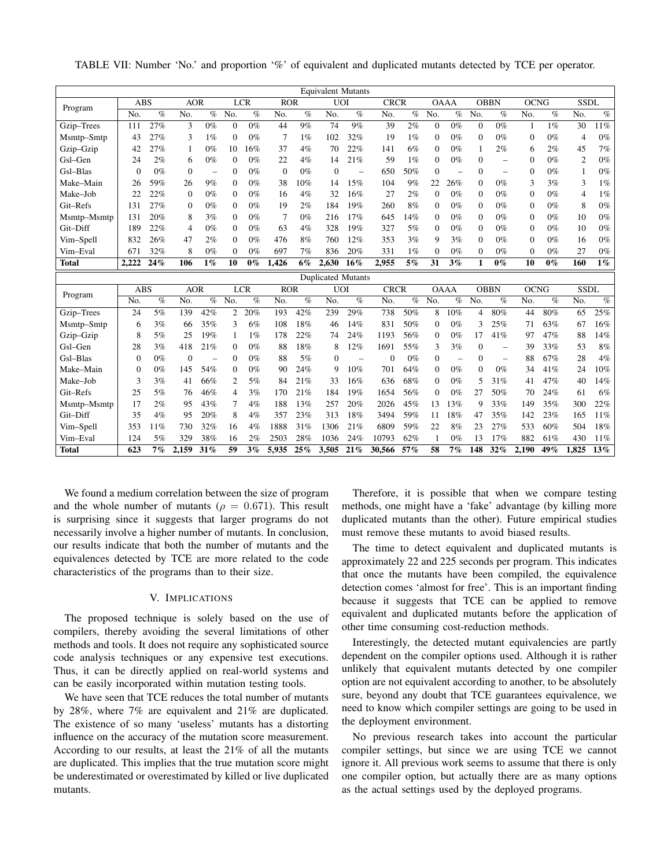<span id="page-8-1"></span>TABLE VII: Number 'No.' and proportion '%' of equivalent and duplicated mutants detected by TCE per operator.

| <b>Equivalent Mutants</b> |              |                          |                |                          |                  |            |                |                 |                           |                          |             |       |                  |                          |                |                          |              |             |                |                 |
|---------------------------|--------------|--------------------------|----------------|--------------------------|------------------|------------|----------------|-----------------|---------------------------|--------------------------|-------------|-------|------------------|--------------------------|----------------|--------------------------|--------------|-------------|----------------|-----------------|
| Program                   | <b>ABS</b>   |                          | <b>AOR</b>     |                          |                  | <b>LCR</b> | <b>ROR</b>     |                 | <b>UOI</b>                |                          | <b>CRCR</b> |       |                  | <b>OAAA</b>              |                | <b>OBBN</b>              | <b>OCNG</b>  |             | <b>SSDL</b>    |                 |
|                           | No.          | $\%$                     | No.            | $\%$                     | No.              | $\%$       | No.            | $\%$            | No.                       | $\%$                     | No.         | $\%$  | No.              | $\%$                     | No.            | $\%$                     | No.          | $\%$        | No.            | $\%$            |
| Gzip-Trees                | 111          | 27%                      | 3              | $0\%$                    | $\overline{0}$   | $0\%$      | 44             | 9%              | 74                        | 9%                       | 39          | 2%    | $\mathbf{0}$     | $0\%$                    | $\mathbf{0}$   | $0\%$                    | 1            | $1\%$       | 30             | 11%             |
| Msmtp-Smtp                | 43           | 27%                      | 3              | 1%                       | $\overline{0}$   | $0\%$      | 7              | 1%              | 102                       | 32%                      | 19          | $1\%$ | 0                | $0\%$                    | 0              | $0\%$                    | $\theta$     | $0\%$       | $\overline{4}$ | $0\%$           |
| Gzip-Gzip                 | 42           | 27%                      | 1              | $0\%$                    | 10               | 16%        | 37             | 4%              | 70                        | 22%                      | 141         | 6%    | 0                | $0\%$                    |                | 2%                       | 6            | 2%          | 45             | 7%              |
| Gsl-Gen                   | 24           | 2%                       | 6              | $0\%$                    | $\mathbf{0}$     | $0\%$      | 22             | 4%              | 14                        | 21%                      | 59          | $1\%$ | $\Omega$         | $0\%$                    | $\mathbf{0}$   | $\overline{\phantom{0}}$ | $\theta$     | $0\%$       | $\overline{2}$ | $0\%$           |
| Gsl-Blas                  | $\mathbf{0}$ | $0\%$                    | $\mathbf{0}$   | $\overline{\phantom{0}}$ | $\overline{0}$   | $0\%$      | $\mathbf{0}$   | $0\%$           | $\theta$                  | $\overline{\phantom{0}}$ | 650         | 50%   | $\theta$         | $\overline{\phantom{0}}$ | $\mathbf{0}$   | $\overline{\phantom{0}}$ | $\theta$     | $0\%$       | 1              | $0\%$           |
| Make-Main                 | 26           | 59%                      | 26             | 9%                       | $\overline{0}$   | $0\%$      | 38             | 10%             | 14                        | 15%                      | 104         | 9%    | 22               | 26%                      | $\mathbf{0}$   | $0\%$                    | 3            | 3%          | 3              | 1%              |
| Make-Job                  | 22           | 22%                      | $\Omega$       | $0\%$                    | $\mathbf{0}$     | $0\%$      | 16             | 4%              | 32                        | 16%                      | 27          | 2%    | $\mathbf{0}$     | $0\%$                    | $\mathbf{0}$   | $0\%$                    | $\theta$     | $0\%$       | $\overline{4}$ | 1%              |
| Git-Refs                  | 131          | 27%                      | $\overline{0}$ | $0\%$                    | 0                | $0\%$      | 19             | 2%              | 184                       | 19%                      | 260         | 8%    | $\boldsymbol{0}$ | $0\%$                    | $\mathbf{0}$   | $0\%$                    | $\mathbf{0}$ | $0\%$       | 8              | $0\%$           |
| Msmtp-Msmtp               | 131          | 20%                      | 8              | 3%                       | $\overline{0}$   | $0\%$      | $\overline{7}$ | $0\%$           | 216                       | 17%                      | 645         | 14%   | 0                | $0\%$                    | 0              | $0\%$                    | $\theta$     | $0\%$       | 10             | $0\%$           |
| Git-Diff                  | 189          | 22%                      | 4              | $0\%$                    | $\boldsymbol{0}$ | $0\%$      | 63             | 4%              | 328                       | 19%                      | 327         | 5%    | $\Omega$         | $0\%$                    | 0              | $0\%$                    | $\theta$     | $0\%$       | 10             | $0\%$           |
| Vim-Spell                 | 832          | 26%                      | 47             | 2%                       | $\theta$         | $0\%$      | 476            | 8%              | 760                       | 12%                      | 353         | 3%    | 9                | 3%                       | $\Omega$       | $0\%$                    | $\theta$     | $0\%$       | 16             | $0\%$           |
| Vim-Eval                  | 671          | 32%                      | 8              | $0\%$                    | $\overline{0}$   | $0\%$      | 697            | 7%              | 836                       | 20%                      | 331         | $1\%$ | $\theta$         | $0\%$                    | $\mathbf{0}$   | $0\%$                    | $\Omega$     | $0\%$       | 27             | $0\%$           |
| <b>Total</b>              | 2,222        | 24%                      | 106            | $1\%$                    | 10               | $0\%$      | 1,426          | 6%              | 2,630                     | 16%                      | 2,955       | 5%    | 31               | 3%                       | 1              | $0\%$                    | 10           | $0\%$       | 160            | $1\%$           |
|                           |              |                          |                |                          |                  |            |                |                 | <b>Duplicated Mutants</b> |                          |             |       |                  |                          |                |                          |              |             |                |                 |
|                           |              | <b>ABS</b><br><b>AOR</b> |                | <b>LCR</b>               |                  |            | <b>ROR</b>     |                 | <b>UOI</b>                |                          | <b>CRCR</b> |       | <b>OAAA</b>      |                          | <b>OBBN</b>    | <b>OCNG</b>              |              | <b>SSDL</b> |                |                 |
| Program                   | No.          | $\%$                     | No.            | $\overline{\%}$          | No.              | $\%$       | No.            | $\overline{\%}$ | No.                       | $\overline{\%}$          | No.         | $\%$  | No.              | $\%$                     | No.            | $\%$                     | No.          | $\%$        | No.            | $\overline{\%}$ |
| Gzip-Trees                | 24           | 5%                       | 139            | 42%                      | $\overline{c}$   | 20%        | 193            | 42%             | 239                       | 29%                      | 738         | 50%   | 8                | $10\%$                   | $\overline{4}$ | 80%                      | 44           | 80%         | 65             | 25%             |
| Msmtp-Smtp                | 6            | 3%                       | 66             | 35%                      | 3                | 6%         | 108            | 18%             | 46                        | 14%                      | 831         | 50%   | $\Omega$         | $0\%$                    | 3              | 25%                      | 71           | 63%         | 67             | 16%             |
| Gzip-Gzip                 | 8            | 5%                       | 25             | 19%                      | 1                | $1\%$      | 178            | 22%             | 74                        | 24%                      | 1193        | 56%   | $\boldsymbol{0}$ | $0\%$                    | 17             | 41%                      | 97           | 47%         | 88             | 14%             |
| Gsl-Gen                   | 28           | 3%                       | 418            | 21%                      | $\mathbf{0}$     | $0\%$      | 88             | 18%             | 8                         | 12%                      | 1691        | 55%   | 3                | 3%                       | $\mathbf{0}$   | $\overline{\phantom{0}}$ | 39           | 33%         | 53             | 8%              |
| Gsl-Blas                  | $\Omega$     | $0\%$                    | $\theta$       | $\overline{\phantom{0}}$ | $\Omega$         | $0\%$      | 88             | 5%              | $\theta$                  | $\overline{\phantom{0}}$ | $\theta$    | $0\%$ | $\Omega$         | $\overline{\phantom{0}}$ | $\Omega$       | $\overline{\phantom{0}}$ | 88           | 67%         | 28             | 4%              |
| Make-Main                 | $\mathbf{0}$ | $0\%$                    | 145            | 54%                      | $\mathbf{0}$     | $0\%$      | 90             | 24%             | 9                         | 10%                      | 701         | 64%   | $\Omega$         | $0\%$                    | $\theta$       | $0\%$                    | 34           | 41%         | 24             | 10%             |
| Make-Job                  | 3            | 3%                       | 41             | 66%                      | $\overline{c}$   | 5%         | 84             | 21%             | 33                        | 16%                      | 636         | 68%   | $\mathbf{0}$     | $0\%$                    | 5              | 31%                      | 41           | 47%         | 40             | 14%             |
| Git-Refs                  | 25           | 5%                       | 76             | 46%                      | 4                | 3%         | 170            | 21%             | 184                       | 19%                      | 1654        | 56%   | $\mathbf{0}$     | $0\%$                    | 27             | 50%                      | 70           | 24%         | 61             | 6%              |
| Msmtp-Msmtp               | 17           | 2%                       | 95             | 43%                      | 7                | 4%         | 188            | 13%             | 257                       | 20%                      | 2026        | 45%   | 13               | 13%                      | 9              | 33%                      | 149          | 35%         | 300            | 22%             |
| Git-Diff                  | 35           | 4%                       | 95             | 20%                      | 8                | 4%         | 357            | 23%             | 313                       | 18%                      | 3494        | 59%   | 11               | 18%                      | 47             | 35%                      | 142          | 23%         | 165            | 11%             |
| Vim-Spell                 | 353          | 11%                      | 730            | 32%                      | 16               | 4%         | 1888           | 31%             | 1306                      | 21%                      | 6809        | 59%   | 22               | 8%                       | 23             | 27%                      | 533          | 60%         | 504            | 18%             |
| Vim-Eval                  | 124          | 5%                       | 329            | 38%                      | 16               | 2%         | 2503           | 28%             | 1036                      | 24%                      | 10793       | 62%   |                  | $0\%$                    | 13             | 17%                      | 882          | 61%         | 430            | 11%             |
| <b>Total</b>              | 623          | 7%                       | 2,159          | 31%                      | 59               | 3%         | 5,935          | 25%             | 3,505                     | 21%                      | 30,566      | 57%   | 58               | 7%                       | 148            | 32%                      | 2,190        | 49%         | 1,825          | 13%             |

We found a medium correlation between the size of program and the whole number of mutants ( $\rho = 0.671$ ). This result is surprising since it suggests that larger programs do not necessarily involve a higher number of mutants. In conclusion, our results indicate that both the number of mutants and the equivalences detected by TCE are more related to the code characteristics of the programs than to their size.

## V. IMPLICATIONS

<span id="page-8-0"></span>The proposed technique is solely based on the use of compilers, thereby avoiding the several limitations of other methods and tools. It does not require any sophisticated source code analysis techniques or any expensive test executions. Thus, it can be directly applied on real-world systems and can be easily incorporated within mutation testing tools.

We have seen that TCE reduces the total number of mutants by 28%, where 7% are equivalent and 21% are duplicated. The existence of so many 'useless' mutants has a distorting influence on the accuracy of the mutation score measurement. According to our results, at least the 21% of all the mutants are duplicated. This implies that the true mutation score might be underestimated or overestimated by killed or live duplicated mutants.

Therefore, it is possible that when we compare testing methods, one might have a 'fake' advantage (by killing more duplicated mutants than the other). Future empirical studies must remove these mutants to avoid biased results.

The time to detect equivalent and duplicated mutants is approximately 22 and 225 seconds per program. This indicates that once the mutants have been compiled, the equivalence detection comes 'almost for free'. This is an important finding because it suggests that TCE can be applied to remove equivalent and duplicated mutants before the application of other time consuming cost-reduction methods.

Interestingly, the detected mutant equivalencies are partly dependent on the compiler options used. Although it is rather unlikely that equivalent mutants detected by one compiler option are not equivalent according to another, to be absolutely sure, beyond any doubt that TCE guarantees equivalence, we need to know which compiler settings are going to be used in the deployment environment.

No previous research takes into account the particular compiler settings, but since we are using TCE we cannot ignore it. All previous work seems to assume that there is only one compiler option, but actually there are as many options as the actual settings used by the deployed programs.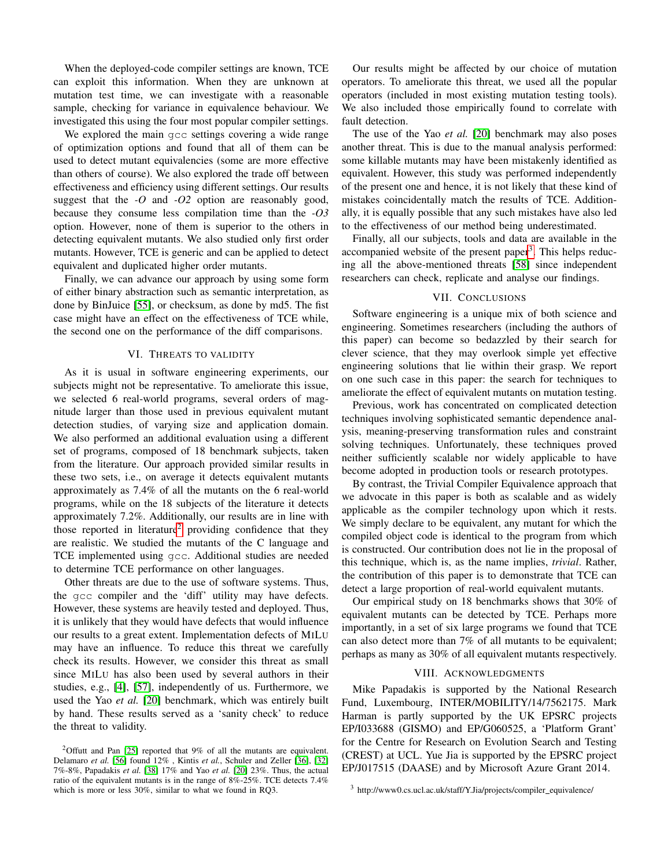When the deployed-code compiler settings are known, TCE can exploit this information. When they are unknown at mutation test time, we can investigate with a reasonable sample, checking for variance in equivalence behaviour. We investigated this using the four most popular compiler settings.

We explored the main gcc settings covering a wide range of optimization options and found that all of them can be used to detect mutant equivalencies (some are more effective than others of course). We also explored the trade off between effectiveness and efficiency using different settings. Our results suggest that the *-O* and *-O2* option are reasonably good, because they consume less compilation time than the *-O3* option. However, none of them is superior to the others in detecting equivalent mutants. We also studied only first order mutants. However, TCE is generic and can be applied to detect equivalent and duplicated higher order mutants.

Finally, we can advance our approach by using some form of either binary abstraction such as semantic interpretation, as done by BinJuice [\[55\]](#page-10-54), or checksum, as done by md5. The fist case might have an effect on the effectiveness of TCE while, the second one on the performance of the diff comparisons.

## VI. THREATS TO VALIDITY

<span id="page-9-0"></span>As it is usual in software engineering experiments, our subjects might not be representative. To ameliorate this issue, we selected 6 real-world programs, several orders of magnitude larger than those used in previous equivalent mutant detection studies, of varying size and application domain. We also performed an additional evaluation using a different set of programs, composed of 18 benchmark subjects, taken from the literature. Our approach provided similar results in these two sets, i.e., on average it detects equivalent mutants approximately as 7.4% of all the mutants on the 6 real-world programs, while on the 18 subjects of the literature it detects approximately 7.2%. Additionally, our results are in line with those reported in literature<sup>[2](#page-9-2)</sup> providing confidence that they are realistic. We studied the mutants of the C language and TCE implemented using gcc. Additional studies are needed to determine TCE performance on other languages.

Other threats are due to the use of software systems. Thus, the gcc compiler and the 'diff' utility may have defects. However, these systems are heavily tested and deployed. Thus, it is unlikely that they would have defects that would influence our results to a great extent. Implementation defects of MILU may have an influence. To reduce this threat we carefully check its results. However, we consider this threat as small since MILU has also been used by several authors in their studies, e.g., [\[4\]](#page-10-3), [\[57\]](#page-10-55), independently of us. Furthermore, we used the Yao *et al.* [\[20\]](#page-10-19) benchmark, which was entirely built by hand. These results served as a 'sanity check' to reduce the threat to validity.

Our results might be affected by our choice of mutation operators. To ameliorate this threat, we used all the popular operators (included in most existing mutation testing tools). We also included those empirically found to correlate with fault detection.

The use of the Yao *et al.* [\[20\]](#page-10-19) benchmark may also poses another threat. This is due to the manual analysis performed: some killable mutants may have been mistakenly identified as equivalent. However, this study was performed independently of the present one and hence, it is not likely that these kind of mistakes coincidentally match the results of TCE. Additionally, it is equally possible that any such mistakes have also led to the effectiveness of our method being underestimated.

Finally, all our subjects, tools and data are available in the accompanied website of the present paper<sup>[3](#page-9-3)</sup>. This helps reducing all the above-mentioned threats [\[58\]](#page-10-57) since independent researchers can check, replicate and analyse our findings.

## VII. CONCLUSIONS

<span id="page-9-1"></span>Software engineering is a unique mix of both science and engineering. Sometimes researchers (including the authors of this paper) can become so bedazzled by their search for clever science, that they may overlook simple yet effective engineering solutions that lie within their grasp. We report on one such case in this paper: the search for techniques to ameliorate the effect of equivalent mutants on mutation testing.

Previous, work has concentrated on complicated detection techniques involving sophisticated semantic dependence analysis, meaning-preserving transformation rules and constraint solving techniques. Unfortunately, these techniques proved neither sufficiently scalable nor widely applicable to have become adopted in production tools or research prototypes.

By contrast, the Trivial Compiler Equivalence approach that we advocate in this paper is both as scalable and as widely applicable as the compiler technology upon which it rests. We simply declare to be equivalent, any mutant for which the compiled object code is identical to the program from which is constructed. Our contribution does not lie in the proposal of this technique, which is, as the name implies, *trivial*. Rather, the contribution of this paper is to demonstrate that TCE can detect a large proportion of real-world equivalent mutants.

Our empirical study on 18 benchmarks shows that 30% of equivalent mutants can be detected by TCE. Perhaps more importantly, in a set of six large programs we found that TCE can also detect more than 7% of all mutants to be equivalent; perhaps as many as 30% of all equivalent mutants respectively.

#### VIII. ACKNOWLEDGMENTS

Mike Papadakis is supported by the National Research Fund, Luxembourg, INTER/MOBILITY/14/7562175. Mark Harman is partly supported by the UK EPSRC projects EP/I033688 (GISMO) and EP/G060525, a 'Platform Grant' for the Centre for Research on Evolution Search and Testing (CREST) at UCL. Yue Jia is supported by the EPSRC project EP/J017515 (DAASE) and by Microsoft Azure Grant 2014.

<span id="page-9-2"></span><sup>&</sup>lt;sup>2</sup>Offutt and Pan [\[25\]](#page-10-24) reported that  $9\%$  of all the mutants are equivalent. Delamaro *et al.* [\[56\]](#page-10-56) found 12% , Kintis *et al.*, Schuler and Zeller [\[36\]](#page-10-35), [\[32\]](#page-10-31) 7%-8%, Papadakis *et al.* [\[38\]](#page-10-37) 17% and Yao *et al.* [\[20\]](#page-10-19) 23%. Thus, the actual ratio of the equivalent mutants is in the range of 8%-25%. TCE detects 7.4% which is more or less 30%, similar to what we found in RQ3.

<span id="page-9-3"></span><sup>&</sup>lt;sup>3</sup> http://www0.cs.ucl.ac.uk/staff/Y.Jia/projects/compiler\_equivalence/